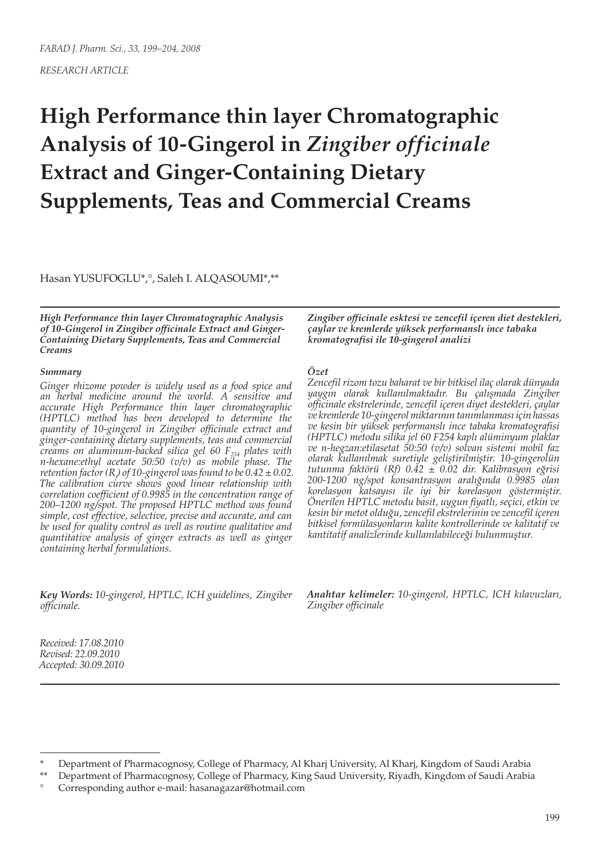*RESEARCH ARTICLE*

# **High Performance thin layer Chromatographic Analysis of 10-Gingerol in** *Zingiber officinale* **Extract and Ginger-Containing Dietary Supplements, Teas and Commercial Creams**

Hasan YUSUFOGLU\*,°, Saleh I. ALQASOUMI\*,\*\*

*High Performance thin layer Chromatographic Analysis of 10-Gingerol in Zingiber officinale Extract and Ginger-Containing Dietary Supplements, Teas and Commercial Creams*

#### *Summary*

*Ginger rhizome powder is widely used as a food spice and an herbal medicine around the world. A sensitive and accurate High Performance thin layer chromatographic (HPTLC) method has been developed to determine the quantity of 10-gingerol in Zingiber officinale extract and ginger-containing dietary supplements, teas and commercial creams on aluminum-backed silica gel 60 F254 plates with n-hexane:ethyl acetate 50:50 (v/v) as mobile phase. The retention factor (Rf ) of 10-gingerol was found to be 0.42 ± 0.02. The calibration curve shows good linear relationship with correlation coefficient of 0.9985 in the concentration range of 200–1200 ng/spot. The proposed HPTLC method was found simple, cost effective, selective, precise and accurate, and can be used for quality control as well as routine qualitative and quantitative analysis of ginger extracts as well as ginger containing herbal formulations.*

*Key Words: 10-gingerol, HPTLC, ICH guidelines, Zingiber officinale.*

*Received: 17.08.2010 Revised: 22.09.2010 Accepted: 30.09.2010* *Zingiber officinale esktesi ve zencefil içeren diet destekleri, çaylar ve kremlerde yüksek performanslı ince tabaka kromatografisi ile 10-gingerol analizi*

### *Özet*

*Zencefil rizom tozu baharat ve bir bitkisel ilaç olarak dünyada yaygın olarak kullanılmaktadır. Bu çalışmada Zingiber officinale ekstrelerinde, zencefil içeren diyet destekleri, çaylar ve kremlerde 10-gingerol miktarının tanımlanması için hassas ve kesin bir yüksek performanslı ince tabaka kromatografisi (HPTLC) metodu silika jel 60 F254 kaplı alüminyum plaklar ve n-hegzan:etilasetat 50:50 (v/v) solvan sistemi mobil faz olarak kullanılmak suretiyle geliştirilmiştir. 10-gingerolün tutunma faktörü (Rf) 0.42 ± 0.02 dir. Kalibrasyon eğrisi 200-1200 ng/spot konsantrasyon aralığında 0.9985 olan korelasyon katsayısı ile iyi bir korelasyon göstermiştir. Önerilen HPTLC metodu basit, uygun fiyatlı, seçici, etkin ve kesin bir metot olduğu, zencefil ekstrelerinin ve zencefil içeren bitkisel formülasyonların kalite kontrollerinde ve kalitatif ve kantitatif analizlerinde kullanılabileceği bulunmuştur.*

*Anahtar kelimeler: 10-gingerol, HPTLC, ICH kılavuzları, Zingiber officinale*

Department of Pharmacognosy, College of Pharmacy, Al Kharj University, Al Kharj, Kingdom of Saudi Arabia

Department of Pharmacognosy, College of Pharmacy, King Saud University, Riyadh, Kingdom of Saudi Arabia

<sup>°</sup> Corresponding author e-mail: hasanagazar@hotmail.com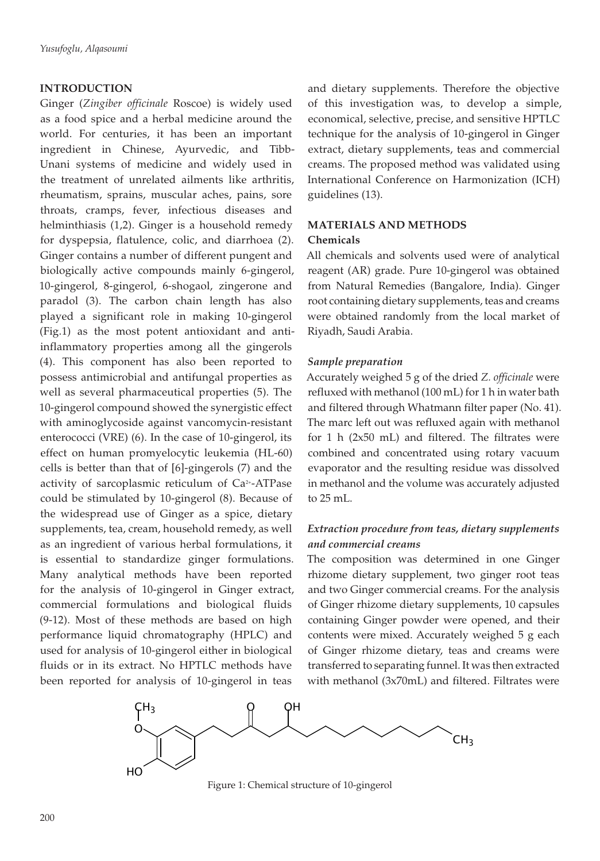## **INTRODUCTION**

Ginger (*Zingiber officinale* Roscoe) is widely used as a food spice and a herbal medicine around the world. For centuries, it has been an important ingredient in Chinese, Ayurvedic, and Tibb-Unani systems of medicine and widely used in the treatment of unrelated ailments like arthritis, rheumatism, sprains, muscular aches, pains, sore throats, cramps, fever, infectious diseases and helminthiasis (1,2). Ginger is a household remedy for dyspepsia, flatulence, colic, and diarrhoea (2). Ginger contains a number of different pungent and biologically active compounds mainly 6-gingerol, 10-gingerol, 8-gingerol, 6-shogaol, zingerone and paradol (3). The carbon chain length has also played a significant role in making 10-gingerol (Fig.1) as the most potent antioxidant and antiinflammatory properties among all the gingerols (4). This component has also been reported to possess antimicrobial and antifungal properties as well as several pharmaceutical properties (5). The 10-gingerol compound showed the synergistic effect with aminoglycoside against vancomycin-resistant enterococci (VRE) (6). In the case of 10-gingerol, its effect on human promyelocytic leukemia (HL-60) cells is better than that of [6]-gingerols (7) and the activity of sarcoplasmic reticulum of Ca2+-ATPase could be stimulated by 10-gingerol (8). Because of the widespread use of Ginger as a spice, dietary supplements, tea, cream, household remedy, as well as an ingredient of various herbal formulations, it is essential to standardize ginger formulations. Many analytical methods have been reported for the analysis of 10-gingerol in Ginger extract, commercial formulations and biological fluids (9-12). Most of these methods are based on high performance liquid chromatography (HPLC) and used for analysis of 10-gingerol either in biological fluids or in its extract. No HPTLC methods have been reported for analysis of 10-gingerol in teas

and dietary supplements. Therefore the objective of this investigation was, to develop a simple, economical, selective, precise, and sensitive HPTLC technique for the analysis of 10-gingerol in Ginger extract, dietary supplements, teas and commercial creams. The proposed method was validated using International Conference on Harmonization (ICH) guidelines (13).

# **MATERIALS AND METHODS Chemicals**

All chemicals and solvents used were of analytical reagent (AR) grade. Pure 10-gingerol was obtained from Natural Remedies (Bangalore, India). Ginger root containing dietary supplements, teas and creams were obtained randomly from the local market of Riyadh, Saudi Arabia.

## *Sample preparation*

Accurately weighed 5 g of the dried *Z. officinale* were refluxed with methanol (100 mL) for 1 h in water bath and filtered through Whatmann filter paper (No. 41). The marc left out was refluxed again with methanol for 1 h (2x50 mL) and filtered. The filtrates were combined and concentrated using rotary vacuum evaporator and the resulting residue was dissolved in methanol and the volume was accurately adjusted to 25 mL.

# *Extraction procedure from teas, dietary supplements and commercial creams*

The composition was determined in one Ginger rhizome dietary supplement, two ginger root teas and two Ginger commercial creams. For the analysis of Ginger rhizome dietary supplements, 10 capsules containing Ginger powder were opened, and their contents were mixed. Accurately weighed 5 g each of Ginger rhizome dietary, teas and creams were transferred to separating funnel. It was then extracted with methanol (3x70mL) and filtered. Filtrates were



Figure 1: Chemical structure of 10-gingerol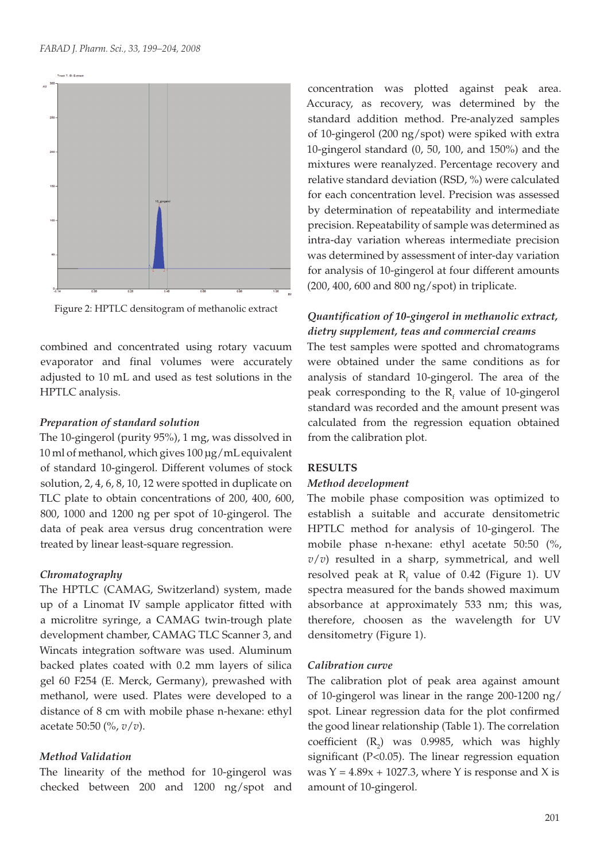

Figure 2: HPTLC densitogram of methanolic extract

combined and concentrated using rotary vacuum evaporator and final volumes were accurately adjusted to 10 mL and used as test solutions in the HPTLC analysis.

#### *Preparation of standard solution*

The 10-gingerol (purity 95%), 1 mg, was dissolved in 10 ml of methanol, which gives 100 μg/mL equivalent of standard 10-gingerol. Different volumes of stock solution, 2, 4, 6, 8, 10, 12 were spotted in duplicate on TLC plate to obtain concentrations of 200, 400, 600, 800, 1000 and 1200 ng per spot of 10-gingerol. The data of peak area versus drug concentration were treated by linear least-square regression.

#### *Chromatography*

The HPTLC (CAMAG, Switzerland) system, made up of a Linomat IV sample applicator fitted with a microlitre syringe, a CAMAG twin-trough plate development chamber, CAMAG TLC Scanner 3, and Wincats integration software was used. Aluminum backed plates coated with 0.2 mm layers of silica gel 60 F254 (E. Merck, Germany), prewashed with methanol, were used. Plates were developed to a distance of 8 cm with mobile phase n-hexane: ethyl acetate 50:50 (%, *v*/*v*).

#### *Method Validation*

The linearity of the method for 10-gingerol was checked between 200 and 1200 ng/spot and

concentration was plotted against peak area. Accuracy, as recovery, was determined by the standard addition method. Pre-analyzed samples of 10-gingerol (200 ng/spot) were spiked with extra 10-gingerol standard (0, 50, 100, and 150%) and the mixtures were reanalyzed. Percentage recovery and relative standard deviation (RSD, %) were calculated for each concentration level. Precision was assessed by determination of repeatability and intermediate precision. Repeatability of sample was determined as intra-day variation whereas intermediate precision was determined by assessment of inter-day variation for analysis of 10-gingerol at four different amounts (200, 400, 600 and 800 ng/spot) in triplicate.

## *Quantification of 10-gingerol in methanolic extract, dietry supplement, teas and commercial creams*

The test samples were spotted and chromatograms were obtained under the same conditions as for analysis of standard 10-gingerol. The area of the peak corresponding to the  $R_f$  value of 10-gingerol standard was recorded and the amount present was calculated from the regression equation obtained from the calibration plot.

#### **RESULTS**

#### *Method development*

The mobile phase composition was optimized to establish a suitable and accurate densitometric HPTLC method for analysis of 10-gingerol. The mobile phase n-hexane: ethyl acetate 50:50 (%,  $v/v$ ) resulted in a sharp, symmetrical, and well resolved peak at  $R_f$  value of 0.42 (Figure 1). UV spectra measured for the bands showed maximum absorbance at approximately 533 nm; this was, therefore, choosen as the wavelength for UV densitometry (Figure 1).

#### *Calibration curve*

The calibration plot of peak area against amount of 10-gingerol was linear in the range 200-1200 ng/ spot. Linear regression data for the plot confirmed the good linear relationship (Table 1). The correlation coefficient  $(R_2)$  was 0.9985, which was highly significant (P<0.05). The linear regression equation was  $Y = 4.89x + 1027.3$ , where Y is response and X is amount of 10-gingerol.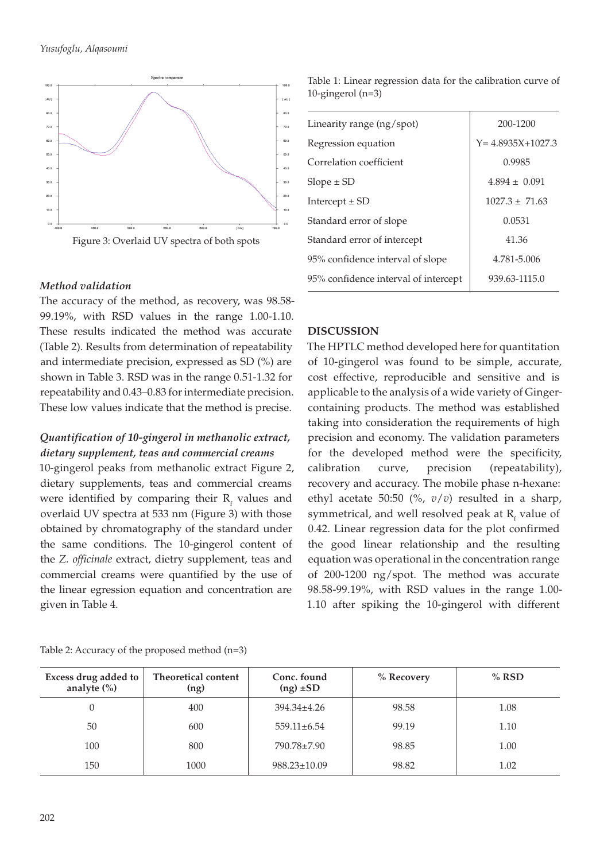



## *Method validation*

The accuracy of the method, as recovery, was 98.58- 99.19%, with RSD values in the range 1.00-1.10. These results indicated the method was accurate (Table 2). Results from determination of repeatability and intermediate precision, expressed as SD (%) are shown in Table 3. RSD was in the range 0.51-1.32 for repeatability and 0.43–0.83 for intermediate precision. These low values indicate that the method is precise.

# *Quantification of 10-gingerol in methanolic extract, dietary supplement, teas and commercial creams*

10-gingerol peaks from methanolic extract Figure 2, dietary supplements, teas and commercial creams were identified by comparing their  $R_f$  values and overlaid UV spectra at 533 nm (Figure 3) with those obtained by chromatography of the standard under the same conditions. The 10-gingerol content of the *Z. officinale* extract, dietry supplement, teas and commercial creams were quantified by the use of the linear egression equation and concentration are given in Table 4.

Table 1: Linear regression data for the calibration curve of 10-gingerol (n=3)

| Linearity range $(ng/spot)$          | 200-1200               |
|--------------------------------------|------------------------|
| Regression equation                  | $Y = 4.8935X + 1027.3$ |
| Correlation coefficient              | 0.9985                 |
| $Slope \pm SD$                       | $4.894 \pm 0.091$      |
| Intercept $\pm$ SD                   | $1027.3 \pm 71.63$     |
| Standard error of slope              | 0.0531                 |
| Standard error of intercept          | 41.36                  |
| 95% confidence interval of slope     | 4.781-5.006            |
| 95% confidence interval of intercept | 939.63-1115.0          |

# **DISCUSSION**

The HPTLC method developed here for quantitation of 10-gingerol was found to be simple, accurate, cost effective, reproducible and sensitive and is applicable to the analysis of a wide variety of Gingercontaining products. The method was established taking into consideration the requirements of high precision and economy. The validation parameters for the developed method were the specificity, calibration curve, precision (repeatability), recovery and accuracy. The mobile phase n-hexane: ethyl acetate 50:50 (%, *v*/*v*) resulted in a sharp, symmetrical, and well resolved peak at  $R_f$  value of 0.42. Linear regression data for the plot confirmed the good linear relationship and the resulting equation was operational in the concentration range of 200-1200 ng/spot. The method was accurate 98.58-99.19%, with RSD values in the range 1.00- 1.10 after spiking the 10-gingerol with different

|  | Table 2: Accuracy of the proposed method (n=3) |  |
|--|------------------------------------------------|--|
|  |                                                |  |

| Excess drug added to<br>analyte $(\%)$ | Theoretical content<br>(ng) | Conc. found<br>$(ng) \pm SD$ | % Recovery | $%$ RSD |
|----------------------------------------|-----------------------------|------------------------------|------------|---------|
|                                        | 400                         | $394.34 \pm 4.26$            | 98.58      | 1.08    |
| 50                                     | 600                         | $559.11 \pm 6.54$            | 99.19      | 1.10    |
| 100                                    | 800                         | 790.78±7.90                  | 98.85      | 1.00    |
| 150                                    | 1000                        | $988.23 \pm 10.09$           | 98.82      | 1.02    |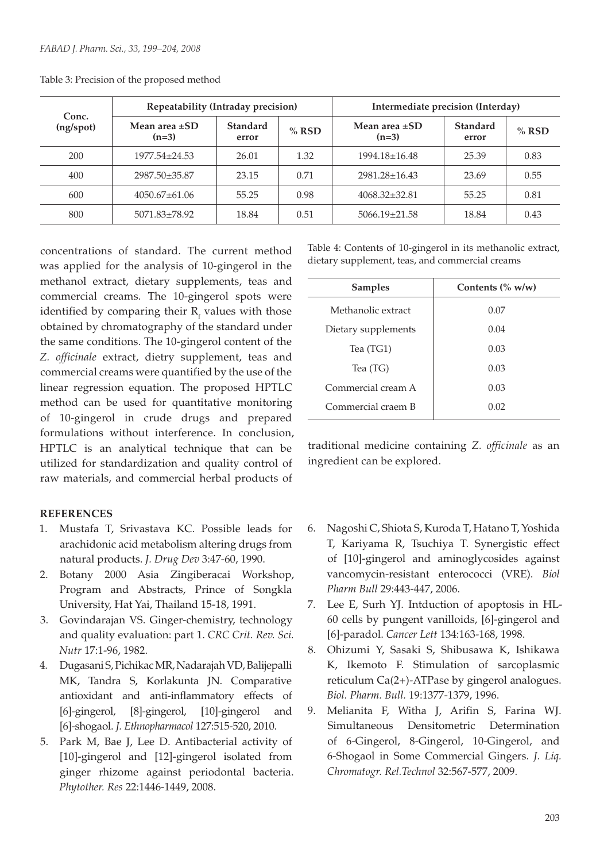|                    | Repeatability (Intraday precision) |                          | Intermediate precision (Interday) |                               |                          |         |
|--------------------|------------------------------------|--------------------------|-----------------------------------|-------------------------------|--------------------------|---------|
| Conc.<br>(ng/spot) | Mean area $\pm$ SD<br>$(n=3)$      | <b>Standard</b><br>error | $%$ RSD                           | Mean area $\pm$ SD<br>$(n=3)$ | <b>Standard</b><br>error | $%$ RSD |
| 200                | $1977.54 + 24.53$                  | 26.01                    | 1.32                              | $1994.18 \pm 16.48$           | 25.39                    | 0.83    |
| 400                | 2987.50±35.87                      | 23.15                    | 0.71                              | $2981.28 \pm 16.43$           | 23.69                    | 0.55    |
| 600                | $4050.67 \pm 61.06$                | 55.25                    | 0.98                              | $4068.32 \pm 32.81$           | 55.25                    | 0.81    |
| 800                | $5071.83 \pm 78.92$                | 18.84                    | 0.51                              | $5066.19 \pm 21.58$           | 18.84                    | 0.43    |

Table 3: Precision of the proposed method

concentrations of standard. The current method was applied for the analysis of 10-gingerol in the methanol extract, dietary supplements, teas and commercial creams. The 10-gingerol spots were identified by comparing their  $R_f$  values with those obtained by chromatography of the standard under the same conditions. The 10-gingerol content of the *Z. officinale* extract, dietry supplement, teas and commercial creams were quantified by the use of the linear regression equation. The proposed HPTLC method can be used for quantitative monitoring of 10-gingerol in crude drugs and prepared formulations without interference. In conclusion, HPTLC is an analytical technique that can be utilized for standardization and quality control of raw materials, and commercial herbal products of

#### **REFERENCES**

- 1. Mustafa T, Srivastava KC. Possible leads for arachidonic acid metabolism altering drugs from natural products. *J. Drug Dev* 3:47-60, 1990.
- 2. Botany 2000 Asia Zingiberacai Workshop, Program and Abstracts, Prince of Songkla University, Hat Yai, Thailand 15-18, 1991.
- 3. Govindarajan VS. Ginger-chemistry, technology and quality evaluation: part 1. *CRC Crit. Rev. Sci. Nutr* 17:1-96, 1982.
- 4. Dugasani S, Pichikac MR, Nadarajah VD, Balijepalli MK, Tandra S, Korlakunta JN. Comparative antioxidant and anti-inflammatory effects of [6]-gingerol, [8]-gingerol, [10]-gingerol and [6]-shogaol. *J. Ethnopharmacol* 127:515-520, 2010.
- 5. Park M, Bae J, Lee D. Antibacterial activity of [10]-gingerol and [12]-gingerol isolated from ginger rhizome against periodontal bacteria. *Phytother. Res* 22:1446-1449, 2008.

Table 4: Contents of 10-gingerol in its methanolic extract, dietary supplement, teas, and commercial creams

| <b>Samples</b>      | Contents $(\% w/w)$ |
|---------------------|---------------------|
| Methanolic extract  | 0.07                |
| Dietary supplements | 0.04                |
| Tea (TG1)           | 0.03                |
| Tea (TG)            | 0.03                |
| Commercial cream A  | 0.03                |
| Commercial craem B  | 0.02                |

traditional medicine containing *Z. officinale* as an ingredient can be explored.

- 6. Nagoshi C, Shiota S, Kuroda T, Hatano T, Yoshida T, Kariyama R, Tsuchiya T. Synergistic effect of [10]-gingerol and aminoglycosides against vancomycin-resistant enterococci (VRE). *Biol Pharm Bull* 29:443-447, 2006.
- 7. Lee E, Surh YJ. Intduction of apoptosis in HL-60 cells by pungent vanilloids, [6]-gingerol and [6]-paradol. *Cancer Lett* 134:163-168, 1998.
- 8. Ohizumi Y, Sasaki S, Shibusawa K, Ishikawa K, Ikemoto F. Stimulation of sarcoplasmic reticulum Ca(2+)-ATPase by gingerol analogues. *Biol. Pharm. Bull.* 19:1377-1379, 1996.
- 9. Melianita F, Witha J, Arifin S, Farina WJ. Simultaneous Densitometric Determination of 6-Gingerol, 8-Gingerol, 10-Gingerol, and 6-Shogaol in Some Commercial Gingers. *J. Liq. Chromatogr. Rel.Technol* 32:567-577, 2009.